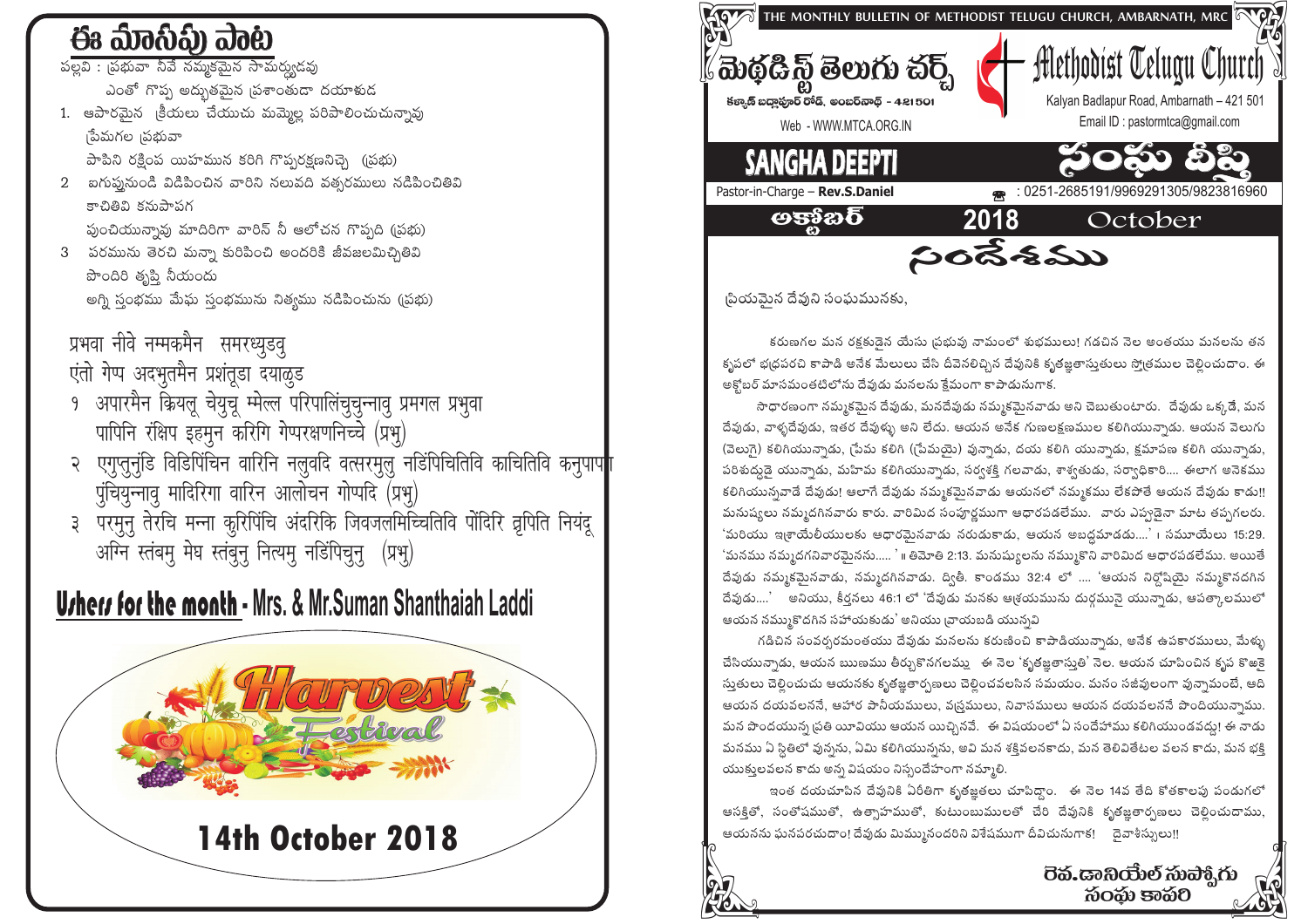# ఈ మేంస్ట్) ఎంట

పల్లవి : ।పభువా నీవే నమ్మకమైన సామర్యుడవు .<br>ఎంతో గొప్ప అద్భుతమైన <sub>l</sub>పశాంతుడా దయాళుడ

1. ఆపారమైన క్రీయలు చేయుచు మమ్మెల్ల పరిపాలించుచున్నావు నేమగల ।పభువా

పాపిని రక్షింప యిహమున కరిగి గొప్పరక్షణనిచ్చె (పథు)

2 ఐగుప్ననుండి విడిపించిన వారిని నలువది వత్సరములు నడిపించితివి కాచితివి కనుపాపగ

ఫుంచియున్నావు మాదిరిగా వారిన్ నీ ఆలోచన గొప్పది (బప్ప)

3 పరమును తెరచి మన్నా కురిపించి అందరికి జీవజలమిచ్చితివి పొందిరి తృప్తి నీయందు అగ్ని స్తంభము మేఘ స్తంభమును నిత్యము నడిపించును (ప్రభు)

### प्रभवा नीवे नम्मकमैन समरध्युडवु

एंतो गेप्प अदभुतमैन प्रशंतूडा दयाळुड

- १ अपारमैन क्रियलु चेयुचु म्मेल्ल परिपालिंचुचुन्नावृ प्रमगल प्रभुवा पापिनि रक्षिप इहमुन करिगि गेप्परक्षणनिच्चे (प्रभु)
- २ एगुप्तुनुंडि विडिपिंचिन वारिनि नलुवदि वत्सरमुलु नडिंपिचितिवि काचितिवि कनुपाप पुंचियुन्नावू मादिरिगा वारिन आलोचन गोप्पदि (प्रभू)
- ३ परमुनु तेरचि मन्ना कुरिपिंचि अंदरिकि जिवजलमिच्चितिवि पोंदिरि वृपिति नियंदू अग्नि स्तंबमु मेघ स्तंबुनु नित्यमु नडिंपिचुनु (प्रभु)

# **Urhers for the month - Mrs. & Mr.Suman Shanthaiah Laddi**





(పియమెన దేవుని సంఘమునకు.

కరుణగల మన రక్షకుడైన యేసు (పభువు నామంలో శుభములు! గడచిన నెల అంతయు మనలను తన కృపలో భ(ధపరచి కాపాడి అనేక మేలులు చేసి దీవెనలిచ్చిన దేవునికి కృతజ్ఞతాస్తుతులు స్మోతముల చెలించుదాం. ఈ అక్టోబర్ మాసమంతటిలోను దేవుడు మనలను క్షేమంగా కాపాడునుగాక.

సాధారణంగా నమ్మకమైన దేవుడు, మనదేవుడు నమ్మకమైనవాడు అని చెబుతుంటారు. దేవుడు ఒక్కడే, మన దేవుడు, వాళ్ళదేవుడు, ఇతర దేవుళ్ళు అని లేదు. ఆయన అనేక గుణలక్షణముల కలిగియున్నాడు. ఆయన వెలుగు (వెలుగై) కలిగియున్నాడు, (పేమ కలిగి ((పేమయై) వున్నాడు, దయ కలిగి యున్నాడు, క్షమాపణ కలిగి యున్నాడు, పరిశుద్ధుడై యున్నాడు, మహిమ కలిగియున్నాడు, సర్వశక్తి గలవాడు, శాశ్వతుడు, సర్వాధికారి.... ఈలాగ అనెకము కలిగియున్నవాడే దేవుడు! ఆలాగే దేవుడు నమ్మకమెనవాడు ఆయనలో నమ్మకము లేకపోతే ఆయన దేవుడు కాడు!! మనుష్యలు నమ్మదగినవారు కారు. వారిమిద సంపూర్ణముగా ఆధారపడలేము. వారు ఎప్పడైనా మాట తప్పగలరు. 'మరియు ఇ(శాయేలీయులకు ఆధారమైనవాడు నరుడుకాడు, ఆయన అబద్ధమాడడు....' । సమూయేలు 15:29. 'మనము నమ్మదగనివారమైనను..... ' ॥ తిమోతి 2:13. మనుష్యులను నమ్ముకొని వారిమిద ఆధారపడలేము. అయితే దేవుడు నమ్మకమైనవాడు, నమ్మదగినవాడు. ద్వితీ. కాండము 32:4 లో .... 'ఆయన నిర్దోషియై నమ్మకొనదగిన దేవుడు....' అనియు, కీర్తనలు 46:1 లో 'దేవుడు మనకు ఆశ్రయమును దుర్గమునై యున్నాడు, ఆపత్కాలములో ఆయన నమ్ముకొదగిన సహాయకుడు' అనియు బాయబడి యున్నవి

గడిచిన సంవర్పరమంతయు దేవుడు మనలను కరుణించి కాపాడియున్నాడు, అనేక ఉపకారములు, మేళ్ళు చేసియున్నాడు, ఆయన ఋణము తీర్పుకొనగలమ్మ \_ ఈ నెల 'కృతజ్ఞతాసుతి' నెల. ఆయన చూపించిన కృప కొఱకె సుతులు చెలించుచు ఆయనకు కృతజ్ఞతార్చణలు చెలించవలసిన సమయం. మనం సజీవులంగా వున్నామంటే, ఆది ఆయన దయవలననే, ఆహార పానీయములు, వ్రస్తములు, నివాసములు ఆయన దయవలననే పొందియున్నాము. మన పొందయున్న ప్రతి యీవియు ఆయన యిచ్చినవే. ఈ విషయంలో ఏ సందేహాము కలిగియుండవద్దు! ఈ నాడు మనము ఏ స్థితిలో వున్నను, ఏమి కలిగియున్నను, అవి మన శక్తివలనకాదు, మన తెలివితేటల వలన కాదు, మన భక్తి యుకులవలన కాదు అన్న విషయం నిస్పందేహంగా నమ్మాలి.

ఇంత దయచూపిన దేవునికి ఏరీతిగా కృతజ్ఞతలు చూపిద్దాం. - ఈ నెల 14వ తేది కోతకాలపు పండుగలో ఆసక్తితో, సంతోషముతో, ఉత్సాహముతో, కుటుంబుములతో చేరి దేవునికి కృతజ్ఞతార్చణలు చెల్లించుదాము, ఆయనను ఘనపరచుదాం! దేవుడు మిమ్మునందరిని విశేషముగా దీవిచునుగాక! దైవాశీస్సులు!!